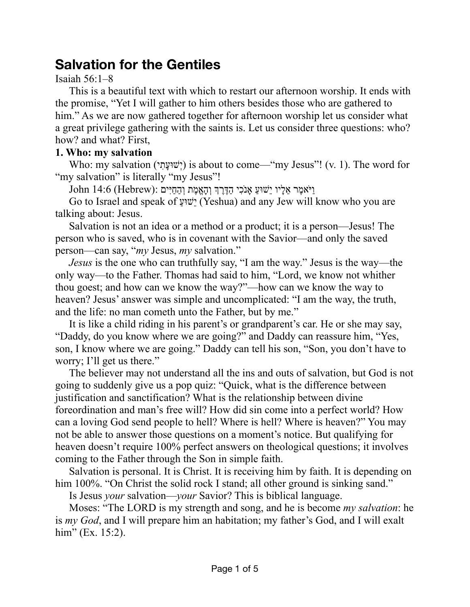# **Salvation for the Gentiles**

### Isaiah 56:1–8

This is a beautiful text with which to restart our afternoon worship. It ends with the promise, "Yet I will gather to him others besides those who are gathered to him." As we are now gathered together for afternoon worship let us consider what a great privilege gathering with the saints is. Let us consider three questions: who? how? and what? First,

## **1. Who: my salvation**

Who: my salvation (ישׁוּעָתִי) is about to come—"my Jesus"! (v. 1). The word for "my salvation" is literally "my Jesus"!

וַיּאמֶר אֵלָיו יֵשׁוּעַ אָנֹכִי הַדֶּרֶךְ וְהָאֱמֶת וְהַחַיִּים :(John 14:6 (Hebrew

Go to Israel and speak of ַשׁוּעֵי) Yeshua) and any Jew will know who you are talking about: Jesus.

Salvation is not an idea or a method or a product; it is a person—Jesus! The person who is saved, who is in covenant with the Savior—and only the saved person—can say, "*my* Jesus, *my* salvation."

*Jesus* is the one who can truthfully say, "I am the way." Jesus is the way—the only way—to the Father. Thomas had said to him, "Lord, we know not whither thou goest; and how can we know the way?"—how can we know the way to heaven? Jesus' answer was simple and uncomplicated: "I am the way, the truth, and the life: no man cometh unto the Father, but by me."

It is like a child riding in his parent's or grandparent's car. He or she may say, "Daddy, do you know where we are going?" and Daddy can reassure him, "Yes, son, I know where we are going." Daddy can tell his son, "Son, you don't have to worry; I'll get us there."

The believer may not understand all the ins and outs of salvation, but God is not going to suddenly give us a pop quiz: "Quick, what is the difference between justification and sanctification? What is the relationship between divine foreordination and man's free will? How did sin come into a perfect world? How can a loving God send people to hell? Where is hell? Where is heaven?" You may not be able to answer those questions on a moment's notice. But qualifying for heaven doesn't require 100% perfect answers on theological questions; it involves coming to the Father through the Son in simple faith.

Salvation is personal. It is Christ. It is receiving him by faith. It is depending on him 100%. "On Christ the solid rock I stand; all other ground is sinking sand."

Is Jesus *your* salvation—*your* Savior? This is biblical language.

Moses: "The LORD is my strength and song, and he is become *my salvation*: he is *my God*, and I will prepare him an habitation; my father's God, and I will exalt him" (Ex. 15:2).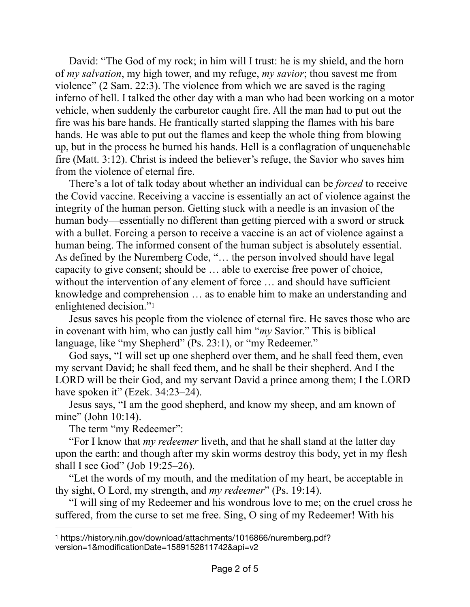David: "The God of my rock; in him will I trust: he is my shield, and the horn of *my salvation*, my high tower, and my refuge, *my savior*; thou savest me from violence" (2 Sam. 22:3). The violence from which we are saved is the raging inferno of hell. I talked the other day with a man who had been working on a motor vehicle, when suddenly the carburetor caught fire. All the man had to put out the fire was his bare hands. He frantically started slapping the flames with his bare hands. He was able to put out the flames and keep the whole thing from blowing up, but in the process he burned his hands. Hell is a conflagration of unquenchable fire (Matt. 3:12). Christ is indeed the believer's refuge, the Savior who saves him from the violence of eternal fire.

There's a lot of talk today about whether an individual can be *forced* to receive the Covid vaccine. Receiving a vaccine is essentially an act of violence against the integrity of the human person. Getting stuck with a needle is an invasion of the human body—essentially no different than getting pierced with a sword or struck with a bullet. Forcing a person to receive a vaccine is an act of violence against a human being. The informed consent of the human subject is absolutely essential. As defined by the Nuremberg Code, "… the person involved should have legal capacity to give consent; should be … able to exercise free power of choice, without the intervention of any element of force ... and should have sufficient knowledge and comprehension … as to enable him to make an understanding and enlightened decision.["1](#page-1-0)

<span id="page-1-1"></span>Jesus saves his people from the violence of eternal fire. He saves those who are in covenant with him, who can justly call him "*my* Savior." This is biblical language, like "my Shepherd" (Ps. 23:1), or "my Redeemer."

God says, "I will set up one shepherd over them, and he shall feed them, even my servant David; he shall feed them, and he shall be their shepherd. And I the LORD will be their God, and my servant David a prince among them; I the LORD have spoken it" (Ezek. 34:23–24).

Jesus says, "I am the good shepherd, and know my sheep, and am known of mine" (John 10:14).

The term "my Redeemer":

"For I know that *my redeemer* liveth, and that he shall stand at the latter day upon the earth: and though after my skin worms destroy this body, yet in my flesh shall I see God" (Job 19:25–26).

"Let the words of my mouth, and the meditation of my heart, be acceptable in thy sight, O Lord, my strength, and *my redeemer*" (Ps. 19:14).

"I will sing of my Redeemer and his wondrous love to me; on the cruel cross he suffered, from the curse to set me free. Sing, O sing of my Redeemer! With his

<span id="page-1-0"></span>[<sup>1</sup>](#page-1-1) https://history.nih.gov/download/attachments/1016866/nuremberg.pdf? version=1&modificationDate=1589152811742&api=v2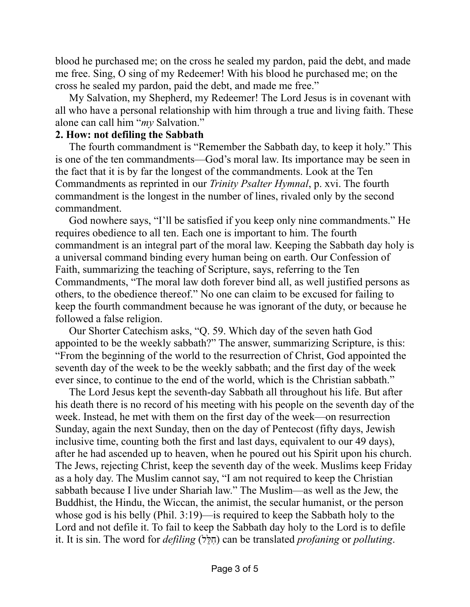blood he purchased me; on the cross he sealed my pardon, paid the debt, and made me free. Sing, O sing of my Redeemer! With his blood he purchased me; on the cross he sealed my pardon, paid the debt, and made me free."

My Salvation, my Shepherd, my Redeemer! The Lord Jesus is in covenant with all who have a personal relationship with him through a true and living faith. These alone can call him "*my* Salvation."

#### **2. How: not defiling the Sabbath**

The fourth commandment is "Remember the Sabbath day, to keep it holy." This is one of the ten commandments—God's moral law. Its importance may be seen in the fact that it is by far the longest of the commandments. Look at the Ten Commandments as reprinted in our *Trinity Psalter Hymnal*, p. xvi. The fourth commandment is the longest in the number of lines, rivaled only by the second commandment.

God nowhere says, "I'll be satisfied if you keep only nine commandments." He requires obedience to all ten. Each one is important to him. The fourth commandment is an integral part of the moral law. Keeping the Sabbath day holy is a universal command binding every human being on earth. Our Confession of Faith, summarizing the teaching of Scripture, says, referring to the Ten Commandments, "The moral law doth forever bind all, as well justified persons as others, to the obedience thereof." No one can claim to be excused for failing to keep the fourth commandment because he was ignorant of the duty, or because he followed a false religion.

Our Shorter Catechism asks, "Q. 59. Which day of the seven hath God appointed to be the weekly sabbath?" The answer, summarizing Scripture, is this: "From the beginning of the world to the resurrection of Christ, God appointed the seventh day of the week to be the weekly sabbath; and the first day of the week ever since, to continue to the end of the world, which is the Christian sabbath."

The Lord Jesus kept the seventh-day Sabbath all throughout his life. But after his death there is no record of his meeting with his people on the seventh day of the week. Instead, he met with them on the first day of the week—on resurrection Sunday, again the next Sunday, then on the day of Pentecost (fifty days, Jewish inclusive time, counting both the first and last days, equivalent to our 49 days), after he had ascended up to heaven, when he poured out his Spirit upon his church. The Jews, rejecting Christ, keep the seventh day of the week. Muslims keep Friday as a holy day. The Muslim cannot say, "I am not required to keep the Christian sabbath because I live under Shariah law." The Muslim—as well as the Jew, the Buddhist, the Hindu, the Wiccan, the animist, the secular humanist, or the person whose god is his belly (Phil. 3:19)—is required to keep the Sabbath holy to the Lord and not defile it. To fail to keep the Sabbath day holy to the Lord is to defile it. It is sin. The word for *defiling* (לֵלִּח (can be translated *profaning* or *polluting*.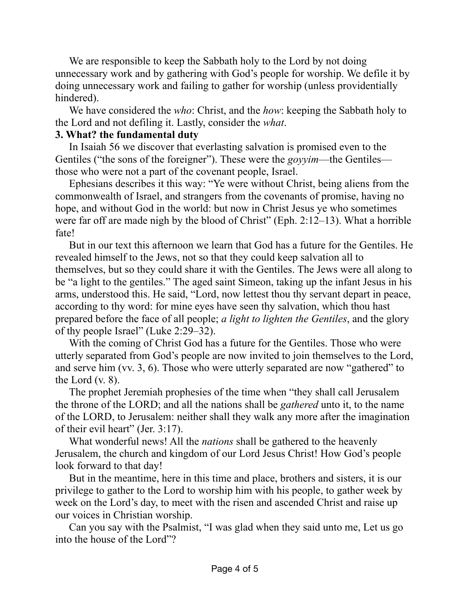We are responsible to keep the Sabbath holy to the Lord by not doing unnecessary work and by gathering with God's people for worship. We defile it by doing unnecessary work and failing to gather for worship (unless providentially hindered).

We have considered the *who*: Christ, and the *how*: keeping the Sabbath holy to the Lord and not defiling it. Lastly, consider the *what*.

#### **3. What? the fundamental duty**

In Isaiah 56 we discover that everlasting salvation is promised even to the Gentiles ("the sons of the foreigner"). These were the *goyyim*—the Gentiles those who were not a part of the covenant people, Israel.

Ephesians describes it this way: "Ye were without Christ, being aliens from the commonwealth of Israel, and strangers from the covenants of promise, having no hope, and without God in the world: but now in Christ Jesus ye who sometimes were far off are made nigh by the blood of Christ" (Eph. 2:12–13). What a horrible fate!

But in our text this afternoon we learn that God has a future for the Gentiles. He revealed himself to the Jews, not so that they could keep salvation all to themselves, but so they could share it with the Gentiles. The Jews were all along to be "a light to the gentiles." The aged saint Simeon, taking up the infant Jesus in his arms, understood this. He said, "Lord, now lettest thou thy servant depart in peace, according to thy word: for mine eyes have seen thy salvation, which thou hast prepared before the face of all people; *a light to lighten the Gentiles*, and the glory of thy people Israel" (Luke 2:29–32).

With the coming of Christ God has a future for the Gentiles. Those who were utterly separated from God's people are now invited to join themselves to the Lord, and serve him (vv. 3, 6). Those who were utterly separated are now "gathered" to the Lord (v. 8).

The prophet Jeremiah prophesies of the time when "they shall call Jerusalem the throne of the LORD; and all the nations shall be *gathered* unto it, to the name of the LORD, to Jerusalem: neither shall they walk any more after the imagination of their evil heart" (Jer. 3:17).

What wonderful news! All the *nations* shall be gathered to the heavenly Jerusalem, the church and kingdom of our Lord Jesus Christ! How God's people look forward to that day!

But in the meantime, here in this time and place, brothers and sisters, it is our privilege to gather to the Lord to worship him with his people, to gather week by week on the Lord's day, to meet with the risen and ascended Christ and raise up our voices in Christian worship.

Can you say with the Psalmist, "I was glad when they said unto me, Let us go into the house of the Lord"?